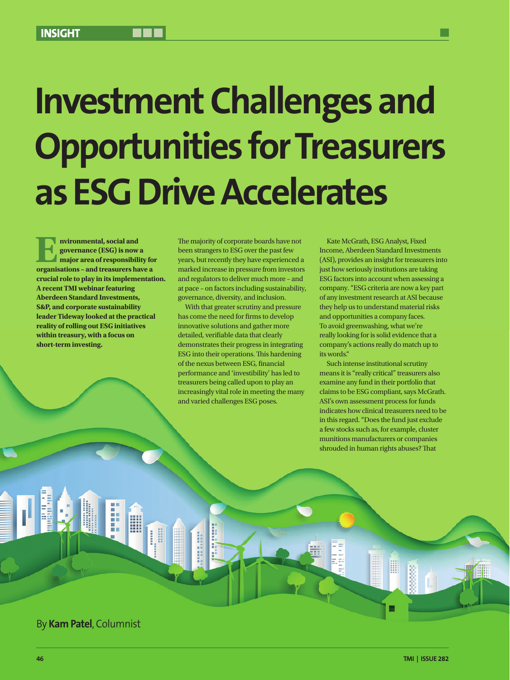## **Investment Challenges and Opportunities for Treasurers as ESG Drive Accelerates**

**E d**<br>**E n**<br>**nv major** area of responsibility<br>**organisations - and treasurers has governance (ESG) is now a major area of responsibility for organisations – and treasurers have a crucial role to play in its implementation. A recent TMI webinar featuring Aberdeen Standard Investments, S&P, and corporate sustainability leader Tideway looked at the practical reality of rolling out ESG initiatives within treasury, with a focus on short-term investing.**

The majority of corporate boards have not been strangers to ESG over the past few years, but recently they have experienced a marked increase in pressure from investors and regulators to deliver much more – and at pace – on factors including sustainability, governance, diversity, and inclusion.

With that greater scrutiny and pressure has come the need for firms to develop innovative solutions and gather more detailed, verifiable data that clearly demonstrates their progress in integrating ESG into their operations. This hardening of the nexus between ESG, financial performance and 'investibility' has led to treasurers being called upon to play an increasingly vital role in meeting the many and varied challenges ESG poses.

**Bandary** 

Kate McGrath, ESG Analyst, Fixed Income, Aberdeen Standard Investments (ASI), provides an insight for treasurers into just how seriously institutions are taking ESG factors into account when assessing a company. "ESG criteria are now a key part of any investment research at ASI because they help us to understand material risks and opportunities a company faces. To avoid greenwashing, what we're really looking for is solid evidence that a company's actions really do match up to its words."

Such intense institutional scrutiny means it is "really critical" treasurers also examine any fund in their portfolio that claims to be ESG compliant, says McGrath. ASI's own assessment process for funds indicates how clinical treasurers need to be in this regard. "Does the fund just exclude a few stocks such as, for example, cluster munitions manufacturers or companies shrouded in human rights abuses? That

▦

By **Kam Patel**, Columnist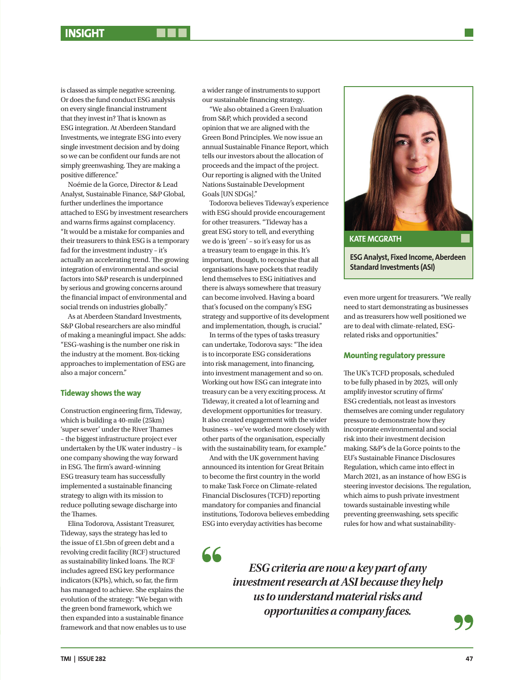is classed as simple negative screening. Or does the fund conduct ESG analysis on every single financial instrument that they invest in? That is known as ESG integration. At Aberdeen Standard Investments, we integrate ESG into every single investment decision and by doing so we can be confident our funds are not simply greenwashing. They are making a positive difference."

Noémie de la Gorce, Director & Lead Analyst, Sustainable Finance, S&P Global, further underlines the importance attached to ESG by investment researchers and warns firms against complacency. "It would be a mistake for companies and their treasurers to think ESG is a temporary fad for the investment industry – it's actually an accelerating trend. The growing integration of environmental and social factors into S&P research is underpinned by serious and growing concerns around the financial impact of environmental and social trends on industries globally."

As at Aberdeen Standard Investments, S&P Global researchers are also mindful of making a meaningful impact. She adds: "ESG-washing is the number one risk in the industry at the moment. Box-ticking approaches to implementation of ESG are also a major concern."

## **Tideway shows the way**

Construction engineering firm, Tideway, which is building a 40-mile (25km) 'super sewer' under the River Thames – the biggest infrastructure project ever undertaken by the UK water industry – is one company showing the way forward in ESG. The firm's award-winning ESG treasury team has successfully implemented a sustainable financing strategy to align with its mission to reduce polluting sewage discharge into the Thames.

Elina Todorova, Assistant Treasurer, Tideway, says the strategy has led to the issue of £1.5bn of green debt and a revolving credit facility (RCF) structured as sustainability linked loans. The RCF includes agreed ESG key performance indicators (KPIs), which, so far, the firm has managed to achieve. She explains the evolution of the strategy: "We began with the green bond framework, which we then expanded into a sustainable finance framework and that now enables us to use a wider range of instruments to support our sustainable financing strategy.

"We also obtained a Green Evaluation from S&P, which provided a second opinion that we are aligned with the Green Bond Principles. We now issue an annual Sustainable Finance Report, which tells our investors about the allocation of proceeds and the impact of the project. Our reporting is aligned with the United Nations Sustainable Development Goals [UN SDGs]."

Todorova believes Tideway's experience with ESG should provide encouragement for other treasurers. "Tideway has a great ESG story to tell, and everything we do is 'green' – so it's easy for us as a treasury team to engage in this. It's important, though, to recognise that all organisations have pockets that readily lend themselves to ESG initiatives and there is always somewhere that treasury can become involved. Having a board that's focused on the company's ESG strategy and supportive of its development and implementation, though, is crucial."

In terms of the types of tasks treasury can undertake, Todorova says: "The idea is to incorporate ESG considerations into risk management, into financing, into investment management and so on. Working out how ESG can integrate into treasury can be a very exciting process. At Tideway, it created a lot of learning and development opportunities for treasury. It also created engagement with the wider business – we've worked more closely with other parts of the organisation, especially with the sustainability team, for example."

And with the UK government having announced its intention for Great Britain to become the first country in the world to make Task Force on Climate-related Financial Disclosures (TCFD) reporting mandatory for companies and financial institutions, Todorova believes embedding ESG into everyday activities has become

66



even more urgent for treasurers. "We really need to start demonstrating as businesses and as treasurers how well positioned we are to deal with climate-related, ESGrelated risks and opportunities."

## **Mounting regulatory pressure**

The UK's TCFD proposals, scheduled to be fully phased in by 2025, will only amplify investor scrutiny of firms' ESG credentials, not least as investors themselves are coming under regulatory pressure to demonstrate how they incorporate environmental and social risk into their investment decision making. S&P's de la Gorce points to the EU's Sustainable Finance Disclosures Regulation, which came into effect in March 2021, as an instance of how ESG is steering investor decisions. The regulation, which aims to push private investment towards sustainable investing while preventing greenwashing, sets specific rules for how and what sustainability-

*ESG criteria are now a key part of any investment research at ASI because they help us to understand material risks and opportunities a company faces.*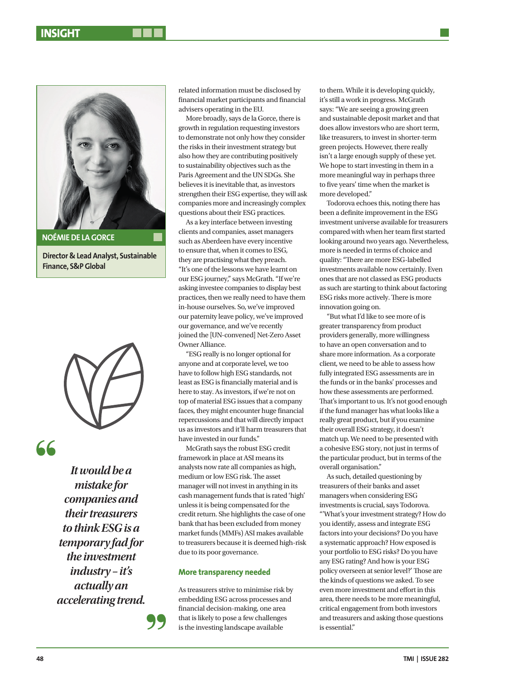

**Director & Lead Analyst, Sustainable Finance, S&P Global**



66

*It would be a mistake for companies and their treasurers to think ESG is a temporary fad for the investment industry – it's actually an accelerating trend.* related information must be disclosed by financial market participants and financial advisers operating in the EU.

More broadly, says de la Gorce, there is growth in regulation requesting investors to demonstrate not only how they consider the risks in their investment strategy but also how they are contributing positively to sustainability objectives such as the Paris Agreement and the UN SDGs. She believes it is inevitable that, as investors strengthen their ESG expertise, they will ask companies more and increasingly complex questions about their ESG practices.

As a key interface between investing clients and companies, asset managers such as Aberdeen have every incentive to ensure that, when it comes to ESG, they are practising what they preach. "It's one of the lessons we have learnt on our ESG journey," says McGrath. "If we're asking investee companies to display best practices, then we really need to have them in-house ourselves. So, we've improved our paternity leave policy, we've improved our governance, and we've recently joined the [UN-convened] Net-Zero Asset Owner Alliance.

"ESG really is no longer optional for anyone and at corporate level, we too have to follow high ESG standards, not least as ESG is financially material and is here to stay. As investors, if we're not on top of material ESG issues that a company faces, they might encounter huge financial repercussions and that will directly impact us as investors and it'll harm treasurers that have invested in our funds."

McGrath says the robust ESG credit framework in place at ASI means its analysts now rate all companies as high, medium or low ESG risk. The asset manager will not invest in anything in its cash management funds that is rated 'high' unless it is being compensated for the credit return. She highlights the case of one bank that has been excluded from money market funds (MMFs) ASI makes available to treasurers because it is deemed high-risk due to its poor governance.

## **More transparency needed**

As treasurers strive to minimise risk by embedding ESG across processes and financial decision-making, one area that is likely to pose a few challenges is the investing landscape available

to them. While it is developing quickly, it's still a work in progress. McGrath says: "We are seeing a growing green and sustainable deposit market and that does allow investors who are short term, like treasurers, to invest in shorter-term green projects. However, there really isn't a large enough supply of these yet. We hope to start investing in them in a more meaningful way in perhaps three to five years' time when the market is more developed."

Todorova echoes this, noting there has been a definite improvement in the ESG investment universe available for treasurers compared with when her team first started looking around two years ago. Nevertheless, more is needed in terms of choice and quality: "There are more ESG-labelled investments available now certainly. Even ones that are not classed as ESG products as such are starting to think about factoring ESG risks more actively. There is more innovation going on.

"But what I'd like to see more of is greater transparency from product providers generally, more willingness to have an open conversation and to share more information. As a corporate client, we need to be able to assess how fully integrated ESG assessments are in the funds or in the banks' processes and how these assessments are performed. That's important to us. It's not good enough if the fund manager has what looks like a really great product, but if you examine their overall ESG strategy, it doesn't match up. We need to be presented with a cohesive ESG story, not just in terms of the particular product, but in terms of the overall organisation."

As such, detailed questioning by treasurers of their banks and asset managers when considering ESG investments is crucial, says Todorova. "'What's your investment strategy? How do you identify, assess and integrate ESG factors into your decisions? Do you have a systematic approach? How exposed is your portfolio to ESG risks? Do you have any ESG rating? And how is your ESG policy overseen at senior level?' Those are the kinds of questions we asked. To see even more investment and effort in this area, there needs to be more meaningful, critical engagement from both investors and treasurers and asking those questions is essential."